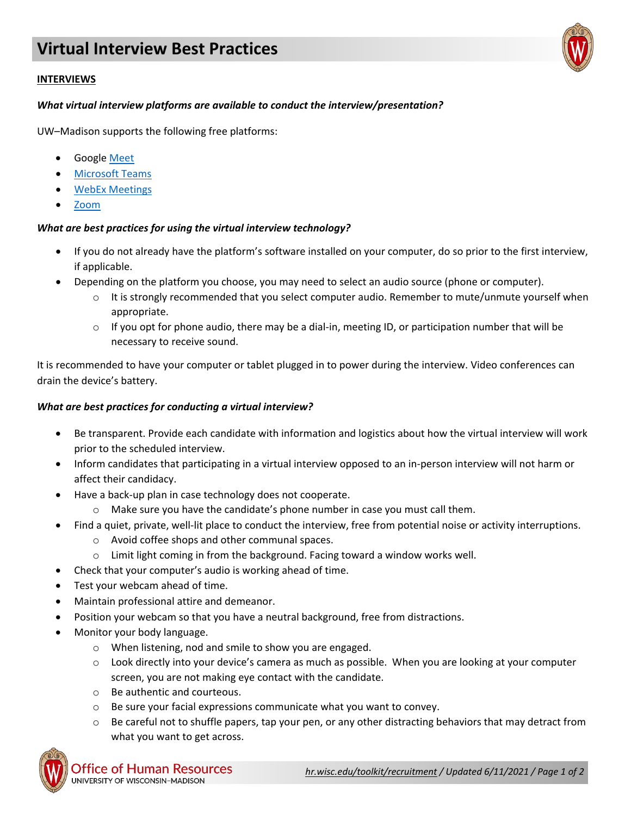## **INTERVIEWS**

## *What virtual interview platforms are available to conduct the interview/presentation?*

UW–Madison supports the following free platforms:

- Google [Meet](https://kb.wisc.edu/page.php?id=98496)
- **[Microsoft Teams](https://kb.wisc.edu/73588)**
- [WebEx Meetings](https://it.wisc.edu/learn/guides/getting-started-with-webex-meetings/)
- [Zoom](https://uwmadison.zoom.us/)

## *What are best practices for using the virtual interview technology?*

- If you do not already have the platform's software installed on your computer, do so prior to the first interview, if applicable.
- Depending on the platform you choose, you may need to select an audio source (phone or computer).
	- $\circ$  It is strongly recommended that you select computer audio. Remember to mute/unmute yourself when appropriate.
	- $\circ$  If you opt for phone audio, there may be a dial-in, meeting ID, or participation number that will be necessary to receive sound.

It is recommended to have your computer or tablet plugged in to power during the interview. Video conferences can drain the device's battery.

## *What are best practices for conducting a virtual interview?*

- Be transparent. Provide each candidate with information and logistics about how the virtual interview will work prior to the scheduled interview.
- Inform candidates that participating in a virtual interview opposed to an in-person interview will not harm or affect their candidacy.
- Have a back-up plan in case technology does not cooperate.
	- o Make sure you have the candidate's phone number in case you must call them.
- Find a quiet, private, well-lit place to conduct the interview, free from potential noise or activity interruptions.
	- o Avoid coffee shops and other communal spaces.
	- o Limit light coming in from the background. Facing toward a window works well.
- Check that your computer's audio is working ahead of time.
- Test your webcam ahead of time.
- Maintain professional attire and demeanor.
- Position your webcam so that you have a neutral background, free from distractions.
- Monitor your body language.
	- o When listening, nod and smile to show you are engaged.
	- $\circ$  Look directly into your device's camera as much as possible. When you are looking at your computer screen, you are not making eye contact with the candidate.
	- o Be authentic and courteous.
	- o Be sure your facial expressions communicate what you want to convey.
	- $\circ$  Be careful not to shuffle papers, tap your pen, or any other distracting behaviors that may detract from what you want to get across.